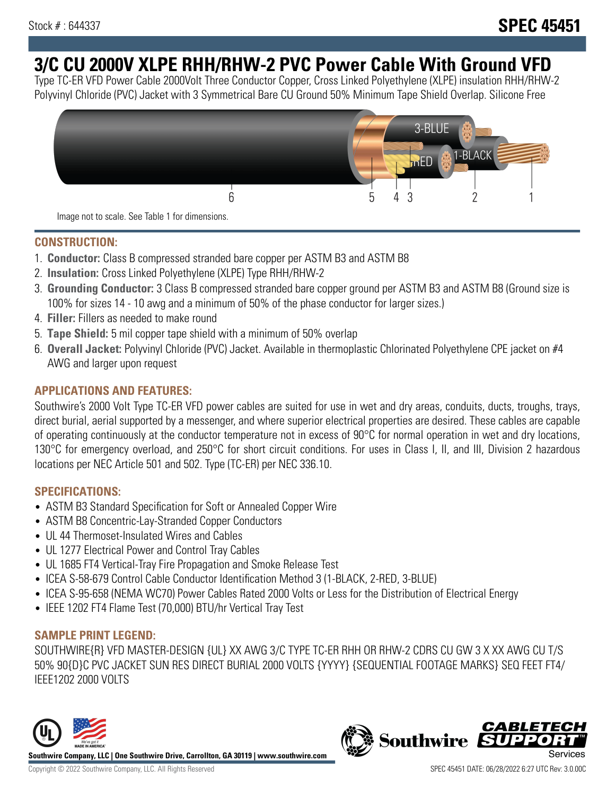# **3/C CU 2000V XLPE RHH/RHW-2 PVC Power Cable With Ground VFD**

Type TC-ER VFD Power Cable 2000Volt Three Conductor Copper, Cross Linked Polyethylene (XLPE) insulation RHH/RHW-2 Polyvinyl Chloride (PVC) Jacket with 3 Symmetrical Bare CU Ground 50% Minimum Tape Shield Overlap. Silicone Free



Image not to scale. See Table 1 for dimensions.

### **CONSTRUCTION:**

- 1. **Conductor:** Class B compressed stranded bare copper per ASTM B3 and ASTM B8
- 2. **Insulation:** Cross Linked Polyethylene (XLPE) Type RHH/RHW-2
- 3. **Grounding Conductor:** 3 Class B compressed stranded bare copper ground per ASTM B3 and ASTM B8 (Ground size is 100% for sizes 14 - 10 awg and a minimum of 50% of the phase conductor for larger sizes.)
- 4. **Filler:** Fillers as needed to make round
- 5. **Tape Shield:** 5 mil copper tape shield with a minimum of 50% overlap
- 6. **Overall Jacket:** Polyvinyl Chloride (PVC) Jacket. Available in thermoplastic Chlorinated Polyethylene CPE jacket on #4 AWG and larger upon request

### **APPLICATIONS AND FEATURES:**

Southwire's 2000 Volt Type TC-ER VFD power cables are suited for use in wet and dry areas, conduits, ducts, troughs, trays, direct burial, aerial supported by a messenger, and where superior electrical properties are desired. These cables are capable of operating continuously at the conductor temperature not in excess of 90°C for normal operation in wet and dry locations, 130°C for emergency overload, and 250°C for short circuit conditions. For uses in Class I, II, and III, Division 2 hazardous locations per NEC Article 501 and 502. Type (TC-ER) per NEC 336.10.

#### **SPECIFICATIONS:**

- ASTM B3 Standard Specification for Soft or Annealed Copper Wire
- ASTM B8 Concentric-Lay-Stranded Copper Conductors
- UL 44 Thermoset-Insulated Wires and Cables
- UL 1277 Electrical Power and Control Tray Cables
- UL 1685 FT4 Vertical-Tray Fire Propagation and Smoke Release Test
- ICEA S-58-679 Control Cable Conductor Identification Method 3 (1-BLACK, 2-RED, 3-BLUE)
- ICEA S-95-658 (NEMA WC70) Power Cables Rated 2000 Volts or Less for the Distribution of Electrical Energy
- IEEE 1202 FT4 Flame Test (70,000) BTU/hr Vertical Tray Test

#### **SAMPLE PRINT LEGEND:**

SOUTHWIRE{R} VFD MASTER-DESIGN {UL} XX AWG 3/C TYPE TC-ER RHH OR RHW-2 CDRS CU GW 3 X XX AWG CU T/S 50% 90{D}C PVC JACKET SUN RES DIRECT BURIAL 2000 VOLTS {YYYY} {SEQUENTIAL FOOTAGE MARKS} SEQ FEET FT4/ IEEE1202 2000 VOLTS